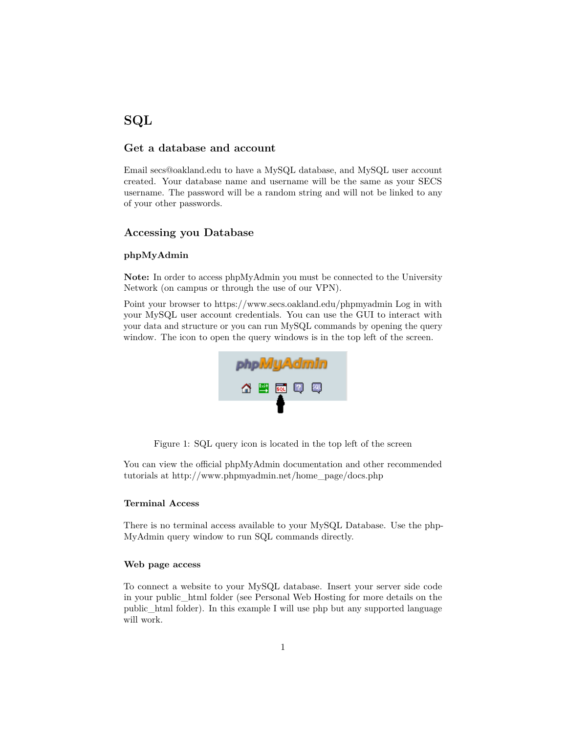# **SQL**

### **Get a database and account**

Email secs@oakland.edu to have a MySQL database, and MySQL user account created. Your database name and username will be the same as your SECS username. The password will be a random string and will not be linked to any of your other passwords.

#### **Accessing you Database**

#### **phpMyAdmin**

**Note:** In order to access phpMyAdmin you must be connected to the University Network (on campus or through the use of our VPN).

Point your browser to https://www.secs.oakland.edu/phpmyadmin Log in with your MySQL user account credentials. You can use the GUI to interact with your data and structure or you can run MySQL commands by opening the query window. The icon to open the query windows is in the top left of the screen.



Figure 1: SQL query icon is located in the top left of the screen

You can view the official phpMyAdmin documentation and other recommended tutorials at http://www.phpmyadmin.net/home\_page/docs.php

#### **Terminal Access**

There is no terminal access available to your MySQL Database. Use the php-MyAdmin query window to run SQL commands directly.

#### **Web page access**

To connect a website to your MySQL database. Insert your server side code in your public\_html folder (see Personal Web Hosting for more details on the public\_html folder). In this example I will use php but any supported language will work.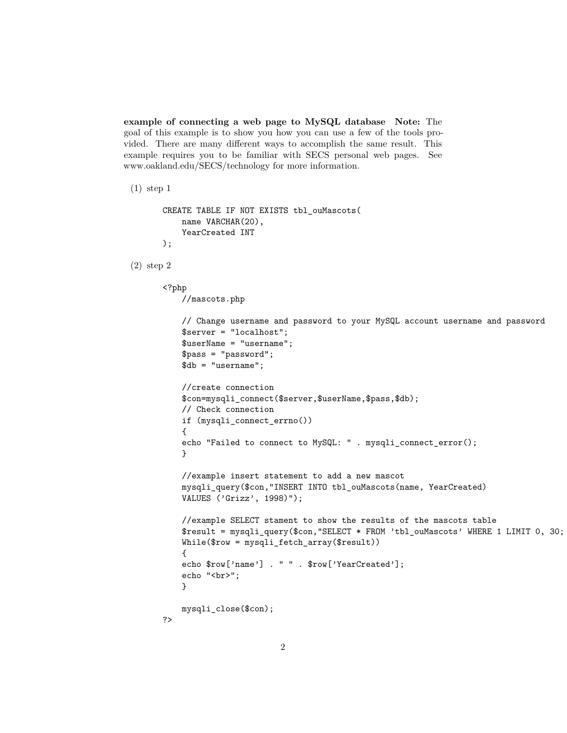**example of connecting a web page to MySQL database Note:** The goal of this example is to show you how you can use a few of the tools provided. There are many different ways to accomplish the same result. This example requires you to be familiar with SECS personal web pages. See www.oakland.edu/SECS/technology for more information.

(1) step 1

```
CREATE TABLE IF NOT EXISTS tbl_ouMascots(
   name VARCHAR(20),
    YearCreated INT
);
```
(2) step 2

```
<?php
    //mascots.php
    // Change username and password to your MySQL account username and password
    $server = "localhost";
    $userName = "username";
    $pass = "password";
    $db = "username";
    //create connection
    $con=mysqli_connect($server,$userName,$pass,$db);
    // Check connection
    if (mysqli_connect_errno())
    {
    echo "Failed to connect to MySQL: " . mysqli_connect_error();
    }
    //example insert statement to add a new mascot
    mysqli_query($con,"INSERT INTO tbl_ouMascots(name, YearCreated)
    VALUES ('Grizz', 1998)");
    //example SELECT stament to show the results of the mascots table
    $result = mysqli_query($con, "SELECT * FROM 'tbl_ouMascots' WHERE 1 LIMIT 0, 30;
    While($row = mysqli_fetch_array($result))
    {
    echo $row['name'] . " " . $row['YearCreated'];
    echo "<br>";
    }
   mysqli_close($con);
?>
```